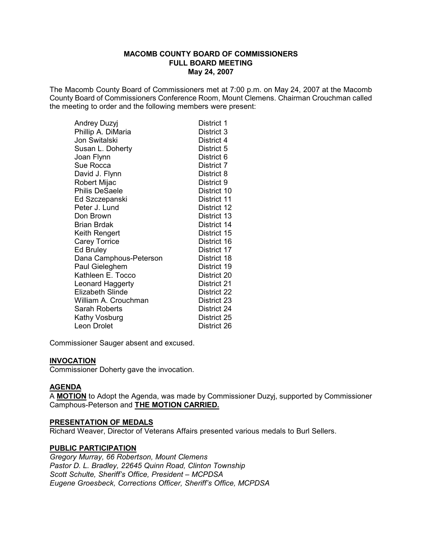The Macomb County Board of Commissioners met at 7:00 p.m. on May 24, 2007 at the Macomb County Board of Commissioners Conference Room, Mount Clemens. Chairman Crouchman called the meeting to order and the following members were present:

| <b>Andrey Duzyj</b>     | District 1  |
|-------------------------|-------------|
| Phillip A. DiMaria      | District 3  |
| Jon Switalski           | District 4  |
| Susan L. Doherty        | District 5  |
| Joan Flynn              | District 6  |
| Sue Rocca               | District 7  |
| David J. Flynn          | District 8  |
| Robert Mijac            | District 9  |
| <b>Philis DeSaele</b>   | District 10 |
| Ed Szczepanski          | District 11 |
| Peter J. Lund           | District 12 |
| Don Brown               | District 13 |
| Brian Brdak             | District 14 |
| Keith Rengert           | District 15 |
| <b>Carey Torrice</b>    | District 16 |
| <b>Ed Bruley</b>        | District 17 |
| Dana Camphous-Peterson  | District 18 |
| Paul Gieleghem          | District 19 |
| Kathleen E. Tocco       | District 20 |
| Leonard Haggerty        | District 21 |
| <b>Elizabeth Slinde</b> | District 22 |
| William A. Crouchman    | District 23 |
| Sarah Roberts           | District 24 |
| Kathy Vosburg           | District 25 |
| Leon Drolet             | District 26 |

Commissioner Sauger absent and excused.

### **INVOCATION**

Commissioner Doherty gave the invocation.

# **AGENDA**

A **MOTION** to Adopt the Agenda, was made by Commissioner Duzyj, supported by Commissioner **Camphous-Peterson and THE MOTION CARRIED.** 

### **PRESENTATION OF MEDALS**

Richard Weaver, Director of Veterans Affairs presented various medals to Burl Sellers.

### **PUBLIC PARTICIPATION**

*Gregory Murray, 66 Robertson, Mount Clemens Pastor D. L. Bradley, 22645 Quinn Road, Clinton Township Scott Schulte, Sheriff's Office, President – MCPDSA Eugene Groesbeck, Corrections Officer, Sheriff's Office, MCPDSA*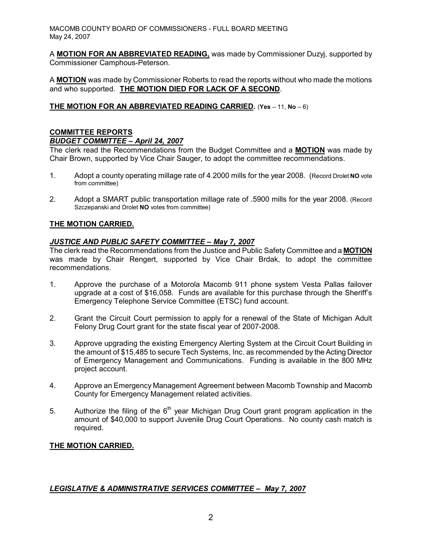A **MOTION FOR AN ABBREVIATED READING,** was made by Commissioner Duzyj, supported by Commissioner Camphous-Peterson.

A **MOTION** was made by Commissioner Roberts to read the reports without who made the motions and who supported. **THE MOTION DIED FOR LACK OF A SECOND**.

# **THE MOTION FOR AN ABBREVIATED READING CARRIED.** (**Yes** – 11, **No** – 6)

# **COMMITTEE REPORTS**

### *BUDGET COMMITTEE – April 24, 2007*

The clerk read the Recommendations from the Budget Committee and a **MOTION** was made by Chair Brown, supported by Vice Chair Sauger, to adopt the committee recommendations.

- 1. Adopt a county operating millage rate of 4.2000 mills for the year 2008. (Record Drolet **NO** vote from committee)
- 2. Adopt a SMART public transportation millage rate of .5900 mills for the year 2008. (Record Szczepanski and Drolet **NO** votes from committee)

# **THE MOTION CARRIED.**

### *JUSTICE AND PUBLIC SAFETY COMMITTEE – May 7, 2007*

The clerk read the Recommendations from the Justice and Public Safety Committee and a **MOTION** was made by Chair Rengert, supported by Vice Chair Brdak, to adopt the committee recommendations.

- 1. Approve the purchase of a Motorola Macomb 911 phone system Vesta Pallas failover upgrade at a cost of \$16,058. Funds are available for this purchase through the Sheriff's Emergency Telephone Service Committee (ETSC) fund account.
- 2. Grant the Circuit Court permission to apply for a renewal of the State of Michigan Adult Felony Drug Court grant for the state fiscal year of 2007-2008.
- 3. Approve upgrading the existing Emergency Alerting System at the Circuit Court Building in the amount of \$15,485 to secure Tech Systems, Inc. as recommended by the Acting Director of Emergency Management and Communications. Funding is available in the 800 MHz project account.
- 4. Approve an Emergency Management Agreement between Macomb Township and Macomb County for Emergency Management related activities.
- 5. Authorize the filing of the  $6<sup>th</sup>$  year Michigan Drug Court grant program application in the amount of \$40,000 to support Juvenile Drug Court Operations. No county cash match is required.

# **THE MOTION CARRIED.**

# *LEGISLATIVE & ADMINISTRATIVE SERVICES COMMITTEE – May 7, 2007*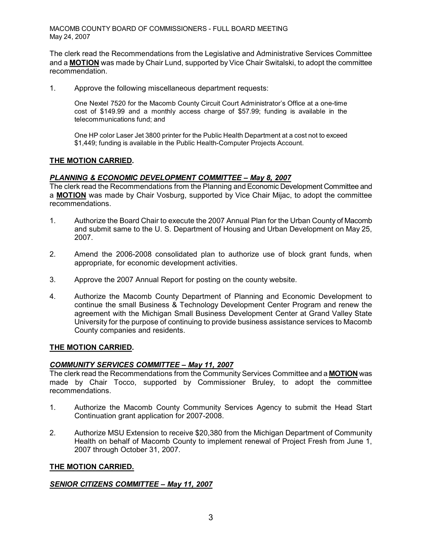The clerk read the Recommendations from the Legislative and Administrative Services Committee and a **MOTION** was made by Chair Lund, supported by Vice Chair Switalski, to adopt the committee recommendation.

1. Approve the following miscellaneous department requests:

One Nextel 7520 for the Macomb County Circuit Court Administrator's Office at a onetime cost of \$149.99 and a monthly access charge of \$57.99; funding is available in the telecommunications fund; and

One HP color Laser Jet 3800 printer for the Public Health Department at a cost not to exceed \$1,449; funding is available in the Public Health-Computer Projects Account.

### **THE MOTION CARRIED.**

### *PLANNING & ECONOMIC DEVELOPMENT COMMITTEE – May 8, 2007*

The clerk read the Recommendations from the Planning and Economic Development Committee and a **MOTION** was made by Chair Vosburg, supported by Vice Chair Mijac, to adopt the committee recommendations.

- 1. Authorize the Board Chair to execute the 2007 Annual Plan for the Urban County of Macomb and submit same to the U. S. Department of Housing and Urban Development on May 25, 2007.
- 2. Amend the 2006-2008 consolidated plan to authorize use of block grant funds, when appropriate, for economic development activities.
- 3. Approve the 2007 Annual Report for posting on the county website.
- 4. Authorize the Macomb County Department of Planning and Economic Development to continue the small Business & Technology Development Center Program and renew the agreement with the Michigan Small Business Development Center at Grand Valley State University for the purpose of continuing to provide business assistance services to Macomb County companies and residents.

# **THE MOTION CARRIED.**

### *COMMUNITY SERVICES COMMITTEE – May 11, 2007*

The clerk read the Recommendations from the Community Services Committee and a **MOTION** was made by Chair Tocco, supported by Commissioner Bruley, to adopt the committee recommendations.

- 1. Authorize the Macomb County Community Services Agency to submit the Head Start Continuation grant application for 2007-2008.
- 2. Authorize MSU Extension to receive \$20,380 from the Michigan Department of Community Health on behalf of Macomb County to implement renewal of Project Fresh from June 1, 2007 through October 31, 2007.

### **THE MOTION CARRIED.**

### *SENIOR CITIZENS COMMITTEE – May 11, 2007*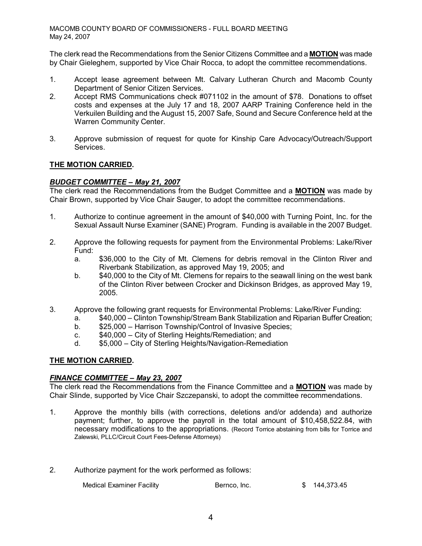The clerk read the Recommendations from the Senior Citizens Committee and a **MOTION** was made by Chair Gieleghem, supported by Vice Chair Rocca, to adopt the committee recommendations.

- 1. Accept lease agreement between Mt. Calvary Lutheran Church and Macomb County Department of Senior Citizen Services.
- 2. Accept RMS Communications check #071102 in the amount of \$78. Donations to offset costs and expenses at the July 17 and 18, 2007 AARP Training Conference held in the Verkuilen Building and the August 15, 2007 Safe, Sound and Secure Conference held at the Warren Community Center.
- 3. Approve submission of request for quote for Kinship Care Advocacy/Outreach/Support Services.

# **THE MOTION CARRIED.**

# *BUDGET COMMITTEE – May 21, 2007*

The clerk read the Recommendations from the Budget Committee and a **MOTION** was made by Chair Brown, supported by Vice Chair Sauger, to adopt the committee recommendations.

- 1. Authorize to continue agreement in the amount of \$40,000 with Turning Point, Inc. for the Sexual Assault Nurse Examiner (SANE) Program. Funding is available in the 2007 Budget.
- 2. Approve the following requests for payment from the Environmental Problems: Lake/River Fund:
	- a. \$36,000 to the City of Mt. Clemens for debris removal in the Clinton River and Riverbank Stabilization, as approved May 19, 2005; and
	- b. \$40,000 to the City of Mt. Clemens for repairs to the seawall lining on the west bank of the Clinton River between Crocker and Dickinson Bridges, as approved May 19, 2005.
- 3. Approve the following grant requests for Environmental Problems: Lake/River Funding:
	- a. \$40,000 Clinton Township/Stream Bank Stabilization and Riparian Buffer Creation;
	- b.  $$25,000 -$  Harrison Township/Control of Invasive Species;
	- c. \$40,000 City of Sterling Heights/Remediation; and
	- d.  $$5,000 City$  of Sterling Heights/Navigation-Remediation

# **THE MOTION CARRIED.**

### *FINANCE COMMITTEE – May 23, 2007*

The clerk read the Recommendations from the Finance Committee and a **MOTION** was made by Chair Slinde, supported by Vice Chair Szczepanski, to adopt the committee recommendations.

- 1. Approve the monthly bills (with corrections, deletions and/or addenda) and authorize payment; further, to approve the payroll in the total amount of \$10,458,522.84, with necessary modifications to the appropriations. (Record Torrice abstaining from bills for Torrice and Zalewski, PLLC/Circuit Court Fees-Defense Attorneys)
- 2. Authorize payment for the work performed as follows:

Medical Examiner Facility **Bernco, Inc.** \$ 144,373.45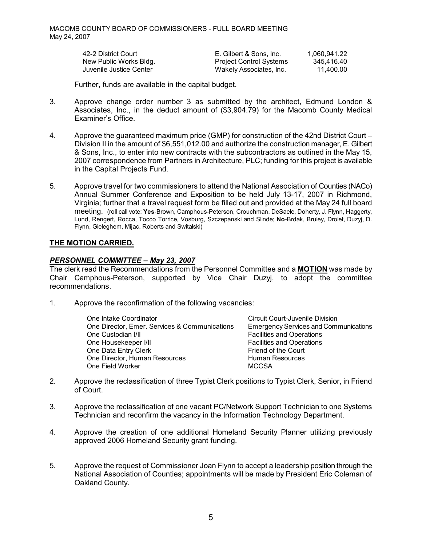| 42-2 District Court     | E. Gilbert & Sons, Inc.        | 1.060.941.22 |
|-------------------------|--------------------------------|--------------|
| New Public Works Bldg.  | <b>Project Control Systems</b> | 345.416.40   |
| Juvenile Justice Center | Wakely Associates, Inc.        | 11.400.00    |

Further, funds are available in the capital budget.

- 3. Approve change order number 3 as submitted by the architect, Edmund London & Associates, Inc., in the deduct amount of (\$3,904.79) for the Macomb County Medical Examiner's Office.
- 4. Approve the guaranteed maximum price (GMP) for construction of the 42nd District Court Division II in the amount of \$6,551,012.00 and authorize the construction manager, E. Gilbert & Sons, Inc., to enter into new contracts with the subcontractors as outlined in the May 15, 2007 correspondence from Partners in Architecture, PLC; funding for this project is available in the Capital Projects Fund.
- 5. Approve travel for two commissioners to attend the National Association of Counties (NACo) Annual Summer Conference and Exposition to be held July 13-17, 2007 in Richmond, Virginia; further that a travel request form be filled out and provided at the May 24 full board meeting. (roll call vote: **Yes**-Brown, Camphous-Peterson, Crouchman, DeSaele, Doherty, J. Flynn, Haggerty, Lund, Rengert, Rocca, Tocco Torrice, Vosburg, Szczepanski and Slinde; **No**Brdak, Bruley, Drolet, Duzyj, D. Flynn, Gieleghem, Mijac, Roberts and Switalski)

### **THE MOTION CARRIED.**

### *PERSONNEL COMMITTEE – May 23, 2007*

The clerk read the Recommendations from the Personnel Committee and a **MOTION** was made by Chair Camphous-Peterson, supported by Vice Chair Duzyi, to adopt the committee recommendations.

1. Approve the reconfirmation of the following vacancies:

| One Intake Coordinator                        | Circuit Court-Juvenile Division              |
|-----------------------------------------------|----------------------------------------------|
| One Director, Emer. Services & Communications | <b>Emergency Services and Communications</b> |
| One Custodian I/II                            | <b>Facilities and Operations</b>             |
| One Housekeeper I/II                          | <b>Facilities and Operations</b>             |
| One Data Entry Clerk                          | Friend of the Court                          |
| One Director, Human Resources                 | Human Resources                              |
| One Field Worker                              | <b>MCCSA</b>                                 |

- 2. Approve the reclassification of three Typist Clerk positions to Typist Clerk, Senior, in Friend of Court.
- 3. Approve the reclassification of one vacant PC/Network Support Technician to one Systems Technician and reconfirm the vacancy in the Information Technology Department.
- 4. Approve the creation of one additional Homeland Security Planner utilizing previously approved 2006 Homeland Security grant funding.
- 5. Approve the request of Commissioner Joan Flynn to accept a leadership position through the National Association of Counties; appointments will be made by President Eric Coleman of Oakland County.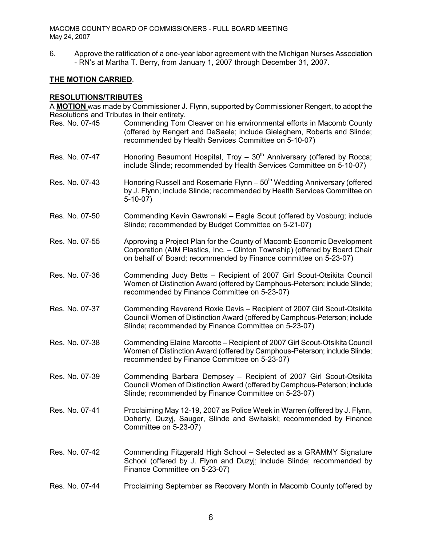6. Approve the ratification of a one-year labor agreement with the Michigan Nurses Association RN's at Martha T. Berry, from January 1, 2007 through December 31, 2007.

### **THE MOTION CARRIED**.

### **RESOLUTIONS/TRIBUTES**

A **MOTION** was made by Commissioner J. Flynn, supported by Commissioner Rengert, to adopt the Resolutions and Tributes in their entirety.

- Res. No. 0745 Commending Tom Cleaver on his environmental efforts in Macomb County (offered by Rengert and DeSaele; include Gieleghem, Roberts and Slinde; recommended by Health Services Committee on 5-10-07)
- Res. No. 07-47 **Honoring Beaumont Hospital, Troy**  $30<sup>th</sup>$  **Anniversary (offered by Rocca;** include Slinde; recommended by Health Services Committee on 5-10-07)
- Res. No. 07-43 Honoring Russell and Rosemarie Flynn 50<sup>th</sup> Wedding Anniversary (offered by J. Flynn; include Slinde; recommended by Health Services Committee on  $5-10-07$ )
- Res. No. 07-50 Commending Kevin Gawronski Eagle Scout (offered by Vosburg; include Slinde; recommended by Budget Committee on 5-21-07)
- Res. No. 07-55 Approving a Project Plan for the County of Macomb Economic Development Corporation (AIM Plastics, Inc. – Clinton Township) (offered by Board Chair on behalf of Board; recommended by Finance committee on 5-23-07)
- Res. No. 07-36 Commending Judy Betts Recipient of 2007 Girl Scout-Otsikita Council Women of Distinction Award (offered by Camphous-Peterson; include Slinde; recommended by Finance Committee on 5-23-07)
- Res. No. 07-37 Commending Reverend Roxie Davis Recipient of 2007 Girl Scout-Otsikita Council Women of Distinction Award (offered by Camphous-Peterson; include Slinde; recommended by Finance Committee on 5-23-07)
- Res. No. 07-38 Commending Elaine Marcotte Recipient of 2007 Girl Scout-Otsikita Council Women of Distinction Award (offered by Camphous-Peterson; include Slinde; recommended by Finance Committee on 5-23-07)
- Res. No. 07-39 Commending Barbara Dempsey Recipient of 2007 Girl Scout-Otsikita Council Women of Distinction Award (offered by Camphous-Peterson; include Slinde; recommended by Finance Committee on 5-23-07)
- Res. No. 07-41 Proclaiming May 12-19, 2007 as Police Week in Warren (offered by J. Flynn, Doherty, Duzyj, Sauger, Slinde and Switalski; recommended by Finance Committee on 5-23-07)
- Res. No. 07-42 Commending Fitzgerald High School Selected as a GRAMMY Signature School (offered by J. Flynn and Duzyi; include Slinde; recommended by Finance Committee on 5-23-07)
- Res. No. 0744 Proclaiming September as Recovery Month in Macomb County (offered by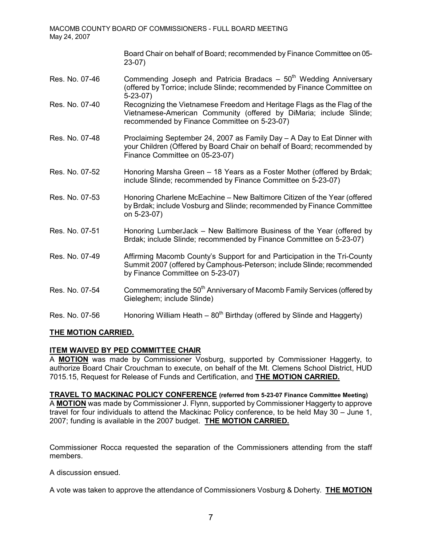Board Chair on behalf of Board; recommended by Finance Committee on 05  $23-07$ )

- Res. No. 07-46 Commending Joseph and Patricia Bradacs  $-50<sup>th</sup>$  Wedding Anniversary (offered by Torrice; include Slinde; recommended by Finance Committee on 5-23-07)
- Res. No. 0740 Recognizing the Vietnamese Freedom and Heritage Flags as the Flag of the Vietnamese-American Community (offered by DiMaria; include Slinde; recommended by Finance Committee on 5-23-07)
- Res. No. 07-48 Proclaiming September 24, 2007 as Family Day A Day to Eat Dinner with your Children (Offered by Board Chair on behalf of Board; recommended by Finance Committee on 05-23-07)
- Res. No. 07-52 Honoring Marsha Green 18 Years as a Foster Mother (offered by Brdak; include Slinde; recommended by Finance Committee on 5-23-07)
- Res. No. 07-53 Honoring Charlene McEachine New Baltimore Citizen of the Year (offered by Brdak; include Vosburg and Slinde; recommended by Finance Committee on 5-23-07)
- Res. No. 07-51 **Honoring LumberJack New Baltimore Business of the Year (offered by** Brdak; include Slinde; recommended by Finance Committee on 5-23-07)
- Res. No. 0749 Affirming Macomb County's Support for and Participation in the TriCounty Summit 2007 (offered by Camphous-Peterson; include Slinde; recommended by Finance Committee on 5-23-07)
- Res. No. 07-54 Commemorating the 50<sup>th</sup> Anniversary of Macomb Family Services (offered by Gieleghem; include Slinde)
- Res. No. 07-56 Honoring William Heath  $80<sup>th</sup>$  Birthday (offered by Slinde and Haggerty)

# **THE MOTION CARRIED.**

# **ITEM WAIVED BY PED COMMITTEE CHAIR**

A **MOTION** was made by Commissioner Vosburg, supported by Commissioner Haggerty, to authorize Board Chair Crouchman to execute, on behalf of the Mt. Clemens School District, HUD 7015.15, Request for Release of Funds and Certification, and **THE MOTION CARRIED.**

**TRAVEL TO MACKINAC POLICY CONFERENCE (referred from 52307 Finance Committee Meeting)** A **MOTION** was made by Commissioner J. Flynn, supported by Commissioner Haggerty to approve travel for four individuals to attend the Mackinac Policy conference, to be held May 30 – June 1, 2007; funding is available in the 2007 budget. **THE MOTION CARRIED.**

Commissioner Rocca requested the separation of the Commissioners attending from the staff members.

A discussion ensued.

A vote was taken to approve the attendance of Commissioners Vosburg & Doherty. **THE MOTION**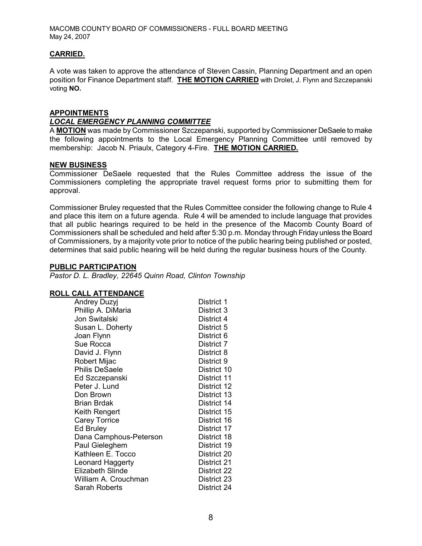### **CARRIED.**

A vote was taken to approve the attendance of Steven Cassin, Planning Department and an open position for Finance Department staff. **THE MOTION CARRIED** with Drolet, J. Flynn and Szczepanski voting **NO.** 

#### **APPOINTMENTS**

### *LOCAL EMERGENCY PLANNING COMMITTEE*

A **MOTION** was made by Commissioner Szczepanski, supported byCommissioner DeSaele to make the following appointments to the Local Emergency Planning Committee until removed by membership: Jacob N. Priaulx, Category 4Fire. **THE MOTION CARRIED.**

### **NEW BUSINESS**

Commissioner DeSaele requested that the Rules Committee address the issue of the Commissioners completing the appropriate travel request forms prior to submitting them for approval.

Commissioner Bruley requested that the Rules Committee consider the following change to Rule 4 and place this item on a future agenda. Rule 4 will be amended to include language that provides that all public hearings required to be held in the presence of the Macomb County Board of Commissioners shall be scheduled and held after 5:30 p.m. Monday through Friday unless the Board of Commissioners, by a majority vote prior to notice of the public hearing being published or posted, determines that said public hearing will be held during the regular business hours of the County.

### **PUBLIC PARTICIPATION**

*Pastor D. L. Bradley, 22645 Quinn Road, Clinton Township*

### **ROLL CALL ATTENDANCE**

| <b>Andrey Duzyj</b>     | District 1  |
|-------------------------|-------------|
| Phillip A. DiMaria      | District 3  |
| Jon Switalski           | District 4  |
| Susan L. Doherty        | District 5  |
| Joan Flynn              | District 6  |
| Sue Rocca               | District 7  |
| David J. Flynn          | District 8  |
| Robert Mijac            | District 9  |
| <b>Philis DeSaele</b>   | District 10 |
| Ed Szczepanski          | District 11 |
| Peter J. Lund           | District 12 |
| Don Brown               | District 13 |
| <b>Brian Brdak</b>      | District 14 |
| Keith Rengert           | District 15 |
| <b>Carey Torrice</b>    | District 16 |
| Ed Bruley               | District 17 |
| Dana Camphous-Peterson  | District 18 |
| Paul Gieleghem          | District 19 |
| Kathleen E. Tocco       | District 20 |
| Leonard Haggerty        | District 21 |
| <b>Elizabeth Slinde</b> | District 22 |
| William A. Crouchman    | District 23 |
| Sarah Roberts           | District 24 |